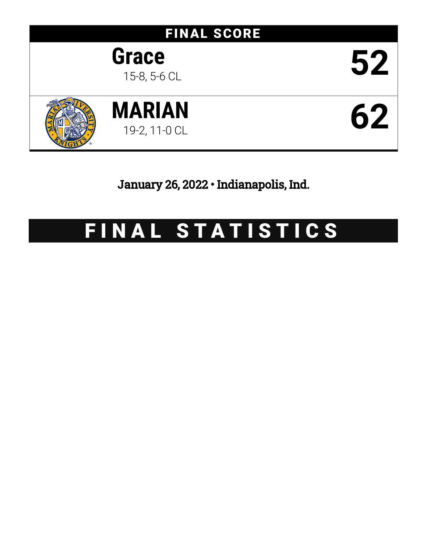

January 26, 2022 • Indianapolis, Ind.

# FINAL STATISTICS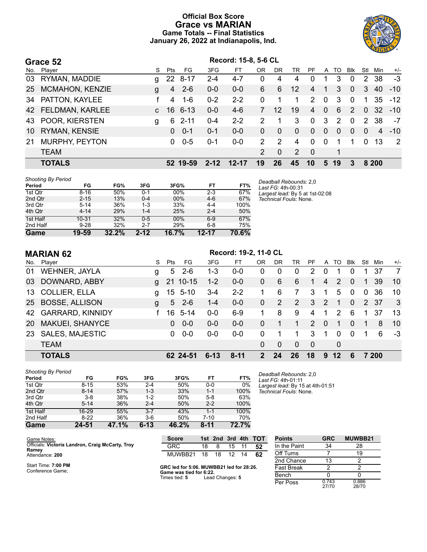# **Official Box Score Grace vs MARIAN Game Totals -- Final Statistics January 26, 2022 at Indianapolis, Ind.**



|     | Grace 52               | Record: 15-8, 5-6 CL |            |          |          |           |                |             |          |                |              |          |            |                |                 |                |
|-----|------------------------|----------------------|------------|----------|----------|-----------|----------------|-------------|----------|----------------|--------------|----------|------------|----------------|-----------------|----------------|
| No. | Plaver                 | S.                   | <b>Pts</b> | FG.      | 3FG      | FТ        | 0R             | DR          | TR       | <b>PF</b>      | A            | TO       | <b>Blk</b> | Stl            | Min             | $+/-$          |
| 03  | RYMAN, MADDIE          | g                    |            | 22 8-17  | $2 - 4$  | $4 - 7$   | 0              | 4           | 4        | 0              |              | 3        | $\Omega$   | $\overline{2}$ | 38              | $-3$           |
| 25  | <b>MCMAHON, KENZIE</b> | g                    | 4          | $2 - 6$  | $0 - 0$  | $0-0$     | 6              | 6           | 12       | 4              |              | 3        | $\Omega$   | 3              | 40              | $-10$          |
| 34  | PATTON, KAYLEE         |                      | 4          | $1 - 6$  | $0 - 2$  | $2 - 2$   | 0              | 1           | 1        | 2              | $\Omega$     | 3        | $\Omega$   |                | 35              | $-12$          |
| 42  | FELDMAN, KARLEE        | $\mathbf{C}$         | 16         | 6-13     | $0 - 0$  | $4-6$     |                | 12          | 19       | $\overline{4}$ | $\mathbf{0}$ | 6        | 2          | $\Omega$       | 32 <sup>°</sup> | $-10$          |
| 43  | POOR, KIERSTEN         | g                    | 6          | $2 - 11$ | $0 - 4$  | $2 - 2$   | 2              |             | 3        | 0              | 3            | 2        | $\Omega$   | $2^{\circ}$    | 38              | $-7$           |
| 10  | <b>RYMAN, KENSIE</b>   |                      | $\Omega$   | $0 - 1$  | $0 - 1$  | $0 - 0$   | 0              | $\Omega$    | $\Omega$ | $\Omega$       | $\Omega$     | $\Omega$ | $\Omega$   | $\Omega$       | 4               | $-10$          |
| 21  | MURPHY, PEYTON         |                      | 0          | $0 - 5$  | $0 - 1$  | $0 - 0$   | $\mathcal{P}$  | 2           | 4        | 0              | $\mathbf{0}$ | 1        |            | 0              | 13              | $\overline{2}$ |
|     | <b>TEAM</b>            |                      |            |          |          |           | $\overline{2}$ | $\mathbf 0$ | 2        | - 0            |              | 1        |            |                |                 |                |
|     | <b>TOTALS</b>          |                      |            | 52 19-59 | $2 - 12$ | $12 - 17$ | 19             | 26          | 45       | 10             | 5            | 19       | 3          |                | 8 200           |                |

| <b>Shooting By Period</b> |  |
|---------------------------|--|
|                           |  |

| Period   | FG        | FG%   | 3FG      | 3FG%  | FT        | FT%   |
|----------|-----------|-------|----------|-------|-----------|-------|
| 1st Qtr  | $8 - 16$  | 50%   | $0 - 1$  | 00%   | $2 - 3$   | 67%   |
| 2nd Qtr  | $2 - 15$  | 13%   | $0 - 4$  | 00%   | $4-6$     | 67%   |
| 3rd Qtr  | $5 - 14$  | 36%   | $1 - 3$  | 33%   | $4 - 4$   | 100%  |
| 4th Qtr  | $4 - 14$  | 29%   | $1 - 4$  | 25%   | $2 - 4$   | 50%   |
| 1st Half | $10 - 31$ | 32%   | $0 - 5$  | 00%   | $6-9$     | 67%   |
| 2nd Half | $9 - 28$  | 32%   | $2 - 7$  | 29%   | $6 - 8$   | 75%   |
| Game     | 19-59     | 32.2% | $2 - 12$ | 16.7% | $12 - 17$ | 70.6% |

*Deadball Rebounds:* 2,0 *Last FG:* 4th-00:31 *Largest lead:* By 5 at 1st-02:08 *Technical Fouls:* None.

|                  | <b>MARIAN 62</b>        |   | Record: 19-2, 11-0 CL |           |          |          |               |           |                       |                       |                |          |              |     |       |       |
|------------------|-------------------------|---|-----------------------|-----------|----------|----------|---------------|-----------|-----------------------|-----------------------|----------------|----------|--------------|-----|-------|-------|
| No.              | Player                  | S | Pts                   | FG        | 3FG      | FT       | 0R            | <b>DR</b> | TR                    | PF                    |                | A TO     | <b>BIK</b>   | Stl | Min   | $+/-$ |
| 01               | <b>WEHNER, JAYLA</b>    | g | 5                     | $2 - 6$   | $1 - 3$  | $0-0$    | 0             | 0         | $\mathbf 0$           | $\mathbf{2}^{\prime}$ | 0              |          | 0            |     | 37    | 7     |
| 03               | DOWNARD, ABBY           | g | 21                    | $10 - 15$ | $1 - 2$  | $0-0$    | $\mathbf{0}$  | 6         | 6                     | 1.                    | $\overline{4}$ | 2        | 0            |     | 39    | 10    |
| 13 <sup>13</sup> | <b>COLLIER, ELLA</b>    | g |                       | 15 5-10   | $3 - 4$  | $2 - 2$  | 1             | 6         | 7                     | 3                     | -1             | 5        | $\mathbf{0}$ | 0   | 36    | 10    |
| 25               | <b>BOSSE, ALLISON</b>   | g | 5                     | $2 - 6$   | $1 - 4$  | $0-0$    | $\mathbf{0}$  | 2         | $\mathbf{2}^{\prime}$ | 3                     | 2              | 1        | $\Omega$     |     | 2 37  | 3     |
| 42               | <b>GARRARD, KINNIDY</b> |   | 16                    | $5 - 14$  | $0-0$    | $6-9$    | 1.            | 8         | 9                     | 4                     |                | 2        | 6            |     | 37    | 13    |
| 20               | MAKUEI, SHANYCE         |   | 0                     | $0 - 0$   | $0 - 0$  | $0 - 0$  | $\Omega$      |           | 1                     | $\mathcal{P}$         | $\Omega$       | 1        | $\Omega$     | 1   | 8     | 10    |
| 23               | <b>SALES, MAJESTIC</b>  |   | 0                     | $0 - 0$   | $0-0$    | $0 - 0$  | $\Omega$      |           |                       | 3                     |                | $\Omega$ | $\Omega$     |     | 6     | -3    |
|                  | <b>TEAM</b>             |   |                       |           |          |          | $\mathbf{0}$  | $\Omega$  | $\Omega$              | $\mathbf{0}$          |                | 0        |              |     |       |       |
|                  | <b>TOTALS</b>           |   |                       | 62 24-51  | $6 - 13$ | $8 - 11$ | $\mathcal{P}$ | 24        | 26                    | 18                    | 9              | 12       | 6            |     | 7 200 |       |

| <b>Shooting By Period</b> |          |       |          |       |          |       |
|---------------------------|----------|-------|----------|-------|----------|-------|
| Period                    | FG       | FG%   | 3FG      | 3FG%  | FT       | FT%   |
| 1st Qtr                   | $8 - 15$ | 53%   | $2 - 4$  | 50%   | $0 - 0$  | 0%    |
| 2nd Qtr                   | $8 - 14$ | 57%   | $1 - 3$  | 33%   | $1 - 1$  | 100%  |
| 3rd Qtr                   | $3 - 8$  | 38%   | $1 - 2$  | 50%   | $5-8$    | 63%   |
| 4th Qtr                   | $5 - 14$ | 36%   | $2 - 4$  | 50%   | $2 - 2$  | 100%  |
| 1st Half                  | 16-29    | 55%   | $3 - 7$  | 43%   | $1 - 1$  | 100%  |
| 2nd Half                  | $8-22$   | 36%   | $3-6$    | 50%   | 7-10     | 70%   |
| Game                      | 24-51    | 47.1% | $6 - 13$ | 46.2% | $8 - 11$ | 72.7% |

*Deadball Rebounds:* 2,0 *Last FG:* 4th-01:11 *Largest lead:* By 15 at 4th-01:51 *Technical Fouls:* None.

| Game Notes:                                               | <b>Score</b>  |     |     |       | 1st 2nd 3rd 4th TOT |
|-----------------------------------------------------------|---------------|-----|-----|-------|---------------------|
| Officials: Victoria Landron, Craig McCarty, Troy<br>Ramey | GRC           | 18. | - 8 | 15 11 | -52                 |
| Attendance: 200                                           | MUWBB21 18 18 |     |     | 12 14 | -62                 |

Start Time: **7:00 PM** Conference Game;

**GRC led for 5:06. MUWBB21 led for 28:26. Game was tied for 6:22.** Times tied: **5** Lead Changes: **5**

| Points       | <b>GRC</b>     | MUWBB21        |
|--------------|----------------|----------------|
| In the Paint | 34             | 28             |
| Off Turns    | 7              | 19             |
| 2nd Chance   | 13             | 2              |
| Fast Break   | 2              | 2              |
| Bench        | 0              | 0              |
| Per Poss     | 0.743<br>27/70 | 0.886<br>28/70 |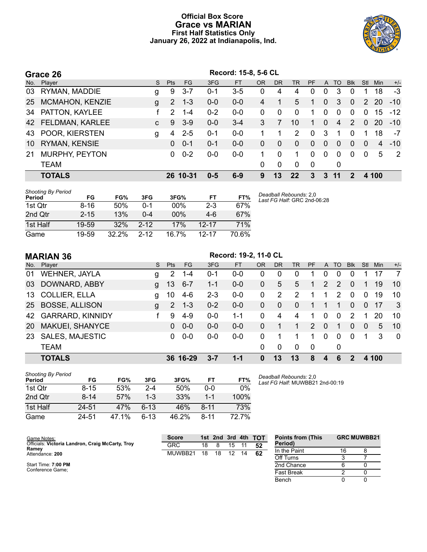# **Official Box Score Grace vs MARIAN First Half Statistics Only January 26, 2022 at Indianapolis, Ind.**



|    | Grace 26              | Record: 15-8, 5-6 CL |            |           |         |           |           |              |          |           |                |                |            |          |       |                |
|----|-----------------------|----------------------|------------|-----------|---------|-----------|-----------|--------------|----------|-----------|----------------|----------------|------------|----------|-------|----------------|
|    | No. Player            | S.                   | <b>Pts</b> | <b>FG</b> | 3FG     | <b>FT</b> | <b>OR</b> | <b>DR</b>    | TR.      | <b>PF</b> | A              | TO             | <b>Blk</b> | Stl      | Min   | $+/-$          |
|    | 03 RYMAN, MADDIE      | g                    | 9          | $3 - 7$   | $0 - 1$ | 3-5       | 0         | 4            | 4        | 0         | 0              | 3              | $\Omega$   |          | 18    | $-3$           |
|    | 25 MCMAHON, KENZIE    | $\mathbf{q}$         | 2          | $1 - 3$   | $0 - 0$ | $0-0$     | 4         |              | 5        | 1         | $\overline{0}$ | 3              | $\Omega$   |          | 2 20  | $-10$          |
|    | 34 PATTON, KAYLEE     |                      | 2          | $1 - 4$   | $0 - 2$ | $0-0$     | 0         | $\Omega$     | $\Omega$ | 1         | $\Omega$       | $\Omega$       | $\Omega$   | $\Omega$ | 15    | $-12$          |
|    | 42 FELDMAN, KARLEE    | $\mathbf{C}$         | 9          | $3-9$     | $0 - 0$ | $3 - 4$   | 3         | 7            | 10       | 1.        | $\Omega$       | $\overline{4}$ | 2          | $\Omega$ | -20   | $-10$          |
|    | 43 POOR, KIERSTEN     | g                    | 4          | $2 - 5$   | $0 - 1$ | $0-0$     |           |              | 2        | $\Omega$  | 3              | 1              | $\Omega$   |          | 18    | $-7$           |
|    | 10 RYMAN, KENSIE      |                      | 0          | $0 - 1$   | $0 - 1$ | $0 - 0$   | 0         | $\Omega$     | $\Omega$ | $\Omega$  | $\Omega$       | $\Omega$       | $\Omega$   | $\Omega$ | 4     | $-10$          |
| 21 | <b>MURPHY, PEYTON</b> |                      | 0          | $0 - 2$   | $0-0$   | $0 - 0$   |           | 0            |          | $\Omega$  | $\Omega$       | $\Omega$       | $\Omega$   | $\Omega$ | 5     | $\overline{2}$ |
|    | <b>TEAM</b>           |                      |            |           |         |           | 0         | $\mathbf{0}$ | $\Omega$ | 0         |                | $\mathbf 0$    |            |          |       |                |
|    | <b>TOTALS</b>         |                      |            | 26 10-31  | $0 - 5$ | $6-9$     | 9         | 13           | 22       | 3         | 3              | 11             | 2          |          | 4 100 |                |

| <b>Shooting By Period</b><br>Period | FG       | FG%   | 3FG      | 3FG%  | FT        | FT%   | Deadk<br>Last F |
|-------------------------------------|----------|-------|----------|-------|-----------|-------|-----------------|
| 1st Qtr                             | 8-16     | 50%   | 0-1      | 00%   | $2-3$     | 67%   |                 |
| 2nd Otr                             | $2 - 15$ | 13%   | $0 - 4$  | 00%   | $4-6$     | 67%   |                 |
| 1st Half                            | 19-59    | 32%   | $2 - 12$ | 17%   | $12 - 17$ | 71%   |                 |
| Game                                | 19-59    | 32.2% | $2 - 12$ | 16.7% | $12 - 17$ | 70.6% |                 |

*Deadball Rebounds:* 2,0 *Last FG Half:* GRC 2nd-06:28

# **MARIAN 36 Record: 19-2, 11-0 CL**

|                 | No. Player             | S. | Pts                   | FG       | 3FG     | <b>FT</b> | <b>OR</b>    | DR          | TR           | <b>PF</b> |          | A TO        | <b>Blk</b>   | Stl          | Min.  | $+/-$                   |
|-----------------|------------------------|----|-----------------------|----------|---------|-----------|--------------|-------------|--------------|-----------|----------|-------------|--------------|--------------|-------|-------------------------|
| 01              | <b>WEHNER, JAYLA</b>   | g  | $\mathbf{2}^{\prime}$ | $1 - 4$  | $0 - 1$ | $0-0$     | 0            | 0           | 0            |           | 0        | 0           | 0            |              | 17    | $\overline{7}$          |
|                 | 03 DOWNARD, ABBY       | q  | 13                    | $6 - 7$  | $1 - 1$ | $0 - 0$   | 0            | 5           | 5            | 1         | 2        | 2           | 0            |              | 19    | 10                      |
|                 | 13 COLLIER, ELLA       | a  | 10                    | 4-6      | $2 - 3$ | $0-0$     | 0            | 2           | 2            |           |          | 2           | $\mathbf 0$  | 0            | 19    | 10                      |
|                 | 25 BOSSE, ALLISON      | g  | $\overline{2}$        | $1 - 3$  | $0 - 2$ | $0-0$     | $\mathbf{0}$ | $\mathbf 0$ | $\mathbf{0}$ | 1         |          | 1           | $\mathbf{0}$ | $\mathbf{0}$ | -17   | $\overline{\mathbf{3}}$ |
|                 | 42 GARRARD, KINNIDY    |    | 9                     | $4 - 9$  | $0 - 0$ | 1-1       | 0            | 4           | 4            |           | 0        | $\mathbf 0$ | 2            |              | 20    | 10                      |
| 20 <sup>1</sup> | <b>MAKUEI, SHANYCE</b> |    | 0                     | $0 - 0$  | $0 - 0$ | $0 - 0$   | 0            |             | 1            | 2         | $\Omega$ | 1           | $\Omega$     | $\mathbf{0}$ | 5     | -10                     |
| 23              | <b>SALES, MAJESTIC</b> |    | 0                     | $0 - 0$  | $0 - 0$ | $0 - 0$   | 0            |             |              | 1         | $\Omega$ | $\mathbf 0$ | $\Omega$     |              | 3     | 0                       |
|                 | <b>TEAM</b>            |    |                       |          |         |           | 0            | 0           | $\Omega$     | - 0       |          | 0           |              |              |       |                         |
|                 | <b>TOTALS</b>          |    |                       | 36 16-29 | $3 - 7$ | $1 - 1$   | 0            | 13          | 13           | 8         | 4        | 6           |              |              | 4 100 |                         |

| <b>Shooting By Period</b><br>Period | FG       | FG%   | 3FG      | 3FG%  | FТ       | FT%   |
|-------------------------------------|----------|-------|----------|-------|----------|-------|
| 1st Otr                             | 8-15     | 53%   | $2 - 4$  | 50%   | 0-0      | $0\%$ |
| 2nd Qtr                             | $8 - 14$ | 57%   | $1-3$    | 33%   | 1-1      | 100%  |
| 1st Half                            | 24-51    | 47%   | $6-13$   | 46%   | $8 - 11$ | 73%   |
| Game                                | 24-51    | 47.1% | $6 - 13$ | 46.2% | $8 - 11$ | 72.7% |

*Deadball Rebounds:* 2,0 *Last FG Half:* MUWBB21 2nd-00:19

> Fast Break 2 0<br>Bench 0 0 Bench 0 0

| Game Notes:                                      | <b>Score</b> |    |    | 1st 2nd 3rd 4th |    | <b>TOT</b> | <b>Points from (This</b> | <b>GRC MUWBB21</b> |  |
|--------------------------------------------------|--------------|----|----|-----------------|----|------------|--------------------------|--------------------|--|
| Officials: Victoria Landron, Craig McCarty, Troy | GRC          | 18 |    | 15              |    | 52         | Period)                  |                    |  |
| Ramev<br>Attendance: 200                         | MUWBB21      | 18 | 18 | 12              | 14 | 62         | In the Paint             |                    |  |
|                                                  |              |    |    |                 |    |            | Off Turns                |                    |  |
| Start Time: 7:00 PM                              |              |    |    |                 |    |            | 2nd Chance               |                    |  |

Start Time: **7:00 PM** Conference Game;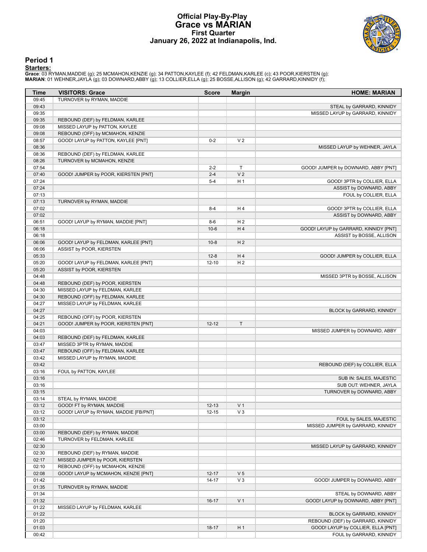# **Official Play-By-Play Grace vs MARIAN First Quarter January 26, 2022 at Indianapolis, Ind.**



## **Period 1**

| Time           | <b>VISITORS: Grace</b>                                             | <b>Score</b> | <b>Margin</b>  | <b>HOME: MARIAN</b>                   |
|----------------|--------------------------------------------------------------------|--------------|----------------|---------------------------------------|
| 09:45          | TURNOVER by RYMAN, MADDIE                                          |              |                |                                       |
| 09:43          |                                                                    |              |                | STEAL by GARRARD, KINNIDY             |
| 09:35          |                                                                    |              |                | MISSED LAYUP by GARRARD, KINNIDY      |
| 09:35          | REBOUND (DEF) by FELDMAN, KARLEE                                   |              |                |                                       |
| 09:08          | MISSED LAYUP by PATTON, KAYLEE                                     |              |                |                                       |
| 09:08          | REBOUND (OFF) by MCMAHON, KENZIE                                   |              |                |                                       |
| 08:57          | GOOD! LAYUP by PATTON, KAYLEE [PNT]                                | $0 - 2$      | V <sub>2</sub> |                                       |
| 08:36<br>08:36 |                                                                    |              |                | MISSED LAYUP by WEHNER, JAYLA         |
| 08:26          | REBOUND (DEF) by FELDMAN, KARLEE<br>TURNOVER by MCMAHON, KENZIE    |              |                |                                       |
| 07:54          |                                                                    | $2 - 2$      | T              | GOOD! JUMPER by DOWNARD, ABBY [PNT]   |
| 07:40          | GOOD! JUMPER by POOR, KIERSTEN [PNT]                               | $2 - 4$      | V <sub>2</sub> |                                       |
| 07:24          |                                                                    | $5 - 4$      | H <sub>1</sub> | GOOD! 3PTR by COLLIER, ELLA           |
| 07:24          |                                                                    |              |                | ASSIST by DOWNARD, ABBY               |
| 07:13          |                                                                    |              |                | FOUL by COLLIER, ELLA                 |
| 07:13          | TURNOVER by RYMAN, MADDIE                                          |              |                |                                       |
| 07:02          |                                                                    | $8 - 4$      | H4             | GOOD! 3PTR by COLLIER, ELLA           |
| 07:02          |                                                                    |              |                | ASSIST by DOWNARD, ABBY               |
| 06:51          | GOOD! LAYUP by RYMAN, MADDIE [PNT]                                 | $8-6$        | H <sub>2</sub> |                                       |
| 06:18          |                                                                    | $10-6$       | H4             | GOOD! LAYUP by GARRARD, KINNIDY [PNT] |
| 06:18          |                                                                    |              |                | ASSIST by BOSSE, ALLISON              |
| 06:06          | GOOD! LAYUP by FELDMAN, KARLEE [PNT]                               | $10-8$       | H <sub>2</sub> |                                       |
| 06:06          | ASSIST by POOR, KIERSTEN                                           |              |                |                                       |
| 05:33          |                                                                    | $12 - 8$     | H4             | GOOD! JUMPER by COLLIER, ELLA         |
| 05:20          | GOOD! LAYUP by FELDMAN, KARLEE [PNT]                               | $12 - 10$    | H <sub>2</sub> |                                       |
| 05:20          | ASSIST by POOR, KIERSTEN                                           |              |                |                                       |
| 04:48          |                                                                    |              |                | MISSED 3PTR by BOSSE, ALLISON         |
| 04:48<br>04:30 | REBOUND (DEF) by POOR, KIERSTEN<br>MISSED LAYUP by FELDMAN, KARLEE |              |                |                                       |
| 04:30          | REBOUND (OFF) by FELDMAN, KARLEE                                   |              |                |                                       |
| 04:27          | MISSED LAYUP by FELDMAN, KARLEE                                    |              |                |                                       |
| 04:27          |                                                                    |              |                | BLOCK by GARRARD, KINNIDY             |
| 04:25          | REBOUND (OFF) by POOR, KIERSTEN                                    |              |                |                                       |
| 04:21          | GOOD! JUMPER by POOR, KIERSTEN [PNT]                               | $12 - 12$    | $\mathsf T$    |                                       |
| 04:03          |                                                                    |              |                | MISSED JUMPER by DOWNARD, ABBY        |
| 04:03          | REBOUND (DEF) by FELDMAN, KARLEE                                   |              |                |                                       |
| 03:47          | MISSED 3PTR by RYMAN, MADDIE                                       |              |                |                                       |
| 03:47          | REBOUND (OFF) by FELDMAN, KARLEE                                   |              |                |                                       |
| 03:42          | MISSED LAYUP by RYMAN, MADDIE                                      |              |                |                                       |
| 03:42          |                                                                    |              |                | REBOUND (DEF) by COLLIER, ELLA        |
| 03:16          | FOUL by PATTON, KAYLEE                                             |              |                |                                       |
| 03:16          |                                                                    |              |                | SUB IN: SALES, MAJESTIC               |
| 03:16          |                                                                    |              |                | SUB OUT: WEHNER, JAYLA                |
| 03:15          |                                                                    |              |                | TURNOVER by DOWNARD, ABBY             |
| 03:14          | STEAL by RYMAN, MADDIE                                             |              |                |                                       |
| 03:12          | GOOD! FT by RYMAN, MADDIE                                          | $12 - 13$    | V <sub>1</sub> |                                       |
| 03:12<br>03:12 | GOOD! LAYUP by RYMAN, MADDIE [FB/PNT]                              | $12 - 15$    | $V_3$          | FOUL by SALES, MAJESTIC               |
| 03:00          |                                                                    |              |                | MISSED JUMPER by GARRARD, KINNIDY     |
| 03:00          | REBOUND (DEF) by RYMAN, MADDIE                                     |              |                |                                       |
| 02:46          | TURNOVER by FELDMAN, KARLEE                                        |              |                |                                       |
| 02:30          |                                                                    |              |                | MISSED LAYUP by GARRARD, KINNIDY      |
| 02:30          | REBOUND (DEF) by RYMAN, MADDIE                                     |              |                |                                       |
| 02:17          | MISSED JUMPER by POOR, KIERSTEN                                    |              |                |                                       |
| 02:10          | REBOUND (OFF) by MCMAHON, KENZIE                                   |              |                |                                       |
| 02:08          | GOOD! LAYUP by MCMAHON, KENZIE [PNT]                               | $12 - 17$    | V <sub>5</sub> |                                       |
| 01:42          |                                                                    | $14 - 17$    | $V_3$          | GOOD! JUMPER by DOWNARD, ABBY         |
| 01:35          | TURNOVER by RYMAN, MADDIE                                          |              |                |                                       |
| 01:34          |                                                                    |              |                | STEAL by DOWNARD, ABBY                |
| 01:32          |                                                                    | $16-17$      | V <sub>1</sub> | GOOD! LAYUP by DOWNARD, ABBY [PNT]    |
| 01:22          | MISSED LAYUP by FELDMAN, KARLEE                                    |              |                |                                       |
| 01:22          |                                                                    |              |                | BLOCK by GARRARD, KINNIDY             |
| 01:20          |                                                                    |              |                | REBOUND (DEF) by GARRARD, KINNIDY     |
| 01:03          |                                                                    | $18-17$      | H <sub>1</sub> | GOOD! LAYUP by COLLIER, ELLA [PNT]    |
| 00:42          |                                                                    |              |                | FOUL by GARRARD, KINNIDY              |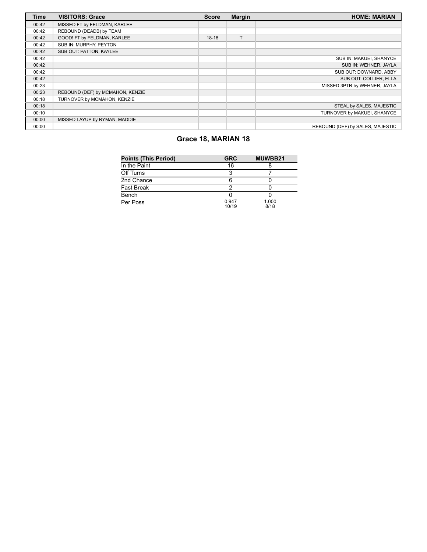| <b>Time</b> | <b>VISITORS: Grace</b>           | <b>Score</b> | <b>Margin</b> | <b>HOME: MARIAN</b>              |
|-------------|----------------------------------|--------------|---------------|----------------------------------|
| 00:42       | MISSED FT by FELDMAN, KARLEE     |              |               |                                  |
| 00:42       | REBOUND (DEADB) by TEAM          |              |               |                                  |
| 00:42       | GOOD! FT by FELDMAN, KARLEE      | $18-18$      | T             |                                  |
| 00:42       | SUB IN: MURPHY, PEYTON           |              |               |                                  |
| 00:42       | SUB OUT: PATTON, KAYLEE          |              |               |                                  |
| 00:42       |                                  |              |               | SUB IN: MAKUEI, SHANYCE          |
| 00:42       |                                  |              |               | SUB IN: WEHNER, JAYLA            |
| 00:42       |                                  |              |               | SUB OUT: DOWNARD, ABBY           |
| 00:42       |                                  |              |               | SUB OUT: COLLIER. ELLA           |
| 00:23       |                                  |              |               | MISSED 3PTR by WEHNER, JAYLA     |
| 00:23       | REBOUND (DEF) by MCMAHON, KENZIE |              |               |                                  |
| 00:18       | TURNOVER by MCMAHON, KENZIE      |              |               |                                  |
| 00:18       |                                  |              |               | STEAL by SALES, MAJESTIC         |
| 00:10       |                                  |              |               | TURNOVER by MAKUEI, SHANYCE      |
| 00:00       | MISSED LAYUP by RYMAN, MADDIE    |              |               |                                  |
| 00:00       |                                  |              |               | REBOUND (DEF) by SALES, MAJESTIC |

# **Grace 18, MARIAN 18**

| <b>Points (This Period)</b> | <b>GRC</b>     | MUWBB21       |
|-----------------------------|----------------|---------------|
| In the Paint                | 16             |               |
| Off Turns                   | ว              |               |
| 2nd Chance                  | 6              |               |
| <b>Fast Break</b>           | ◠              |               |
| Bench                       |                |               |
| Per Poss                    | 0.947<br>10/19 | 1.000<br>8/18 |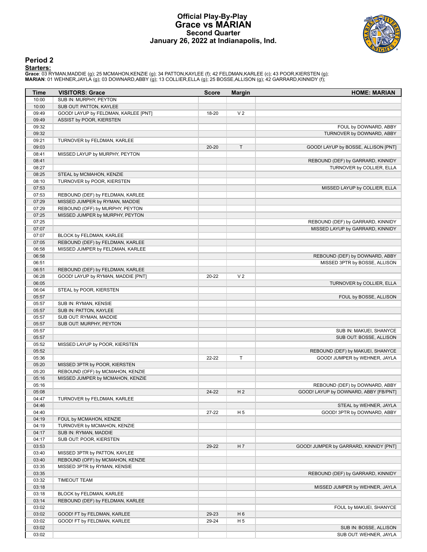# **Official Play-By-Play Grace vs MARIAN Second Quarter January 26, 2022 at Indianapolis, Ind.**



# **Period 2**

| <b>Time</b>    | <b>VISITORS: Grace</b>                                               | <b>Score</b> | <b>Margin</b>  | <b>HOME: MARIAN</b>                    |
|----------------|----------------------------------------------------------------------|--------------|----------------|----------------------------------------|
| 10:00          | SUB IN: MURPHY, PEYTON                                               |              |                |                                        |
| 10:00          | SUB OUT: PATTON, KAYLEE                                              |              |                |                                        |
| 09:49          | GOOD! LAYUP by FELDMAN, KARLEE [PNT]                                 | 18-20        | V <sub>2</sub> |                                        |
| 09:49          | ASSIST by POOR, KIERSTEN                                             |              |                |                                        |
| 09:32          |                                                                      |              |                | FOUL by DOWNARD, ABBY                  |
| 09:32          |                                                                      |              |                | TURNOVER by DOWNARD, ABBY              |
| 09:21          | TURNOVER by FELDMAN, KARLEE                                          |              |                |                                        |
| 09:03          |                                                                      | $20 - 20$    | $\top$         | GOOD! LAYUP by BOSSE, ALLISON [PNT]    |
| 08:41          | MISSED LAYUP by MURPHY, PEYTON                                       |              |                |                                        |
| 08:41          |                                                                      |              |                | REBOUND (DEF) by GARRARD, KINNIDY      |
| 08:27          |                                                                      |              |                | TURNOVER by COLLIER, ELLA              |
| 08:25          | STEAL by MCMAHON, KENZIE                                             |              |                |                                        |
| 08:10<br>07:53 | TURNOVER by POOR, KIERSTEN                                           |              |                |                                        |
| 07:53          | REBOUND (DEF) by FELDMAN, KARLEE                                     |              |                | MISSED LAYUP by COLLIER, ELLA          |
| 07:29          | MISSED JUMPER by RYMAN, MADDIE                                       |              |                |                                        |
| 07:29          | REBOUND (OFF) by MURPHY, PEYTON                                      |              |                |                                        |
| 07:25          | MISSED JUMPER by MURPHY, PEYTON                                      |              |                |                                        |
| 07:25          |                                                                      |              |                | REBOUND (DEF) by GARRARD, KINNIDY      |
| 07:07          |                                                                      |              |                | MISSED LAYUP by GARRARD, KINNIDY       |
| 07:07          | BLOCK by FELDMAN, KARLEE                                             |              |                |                                        |
| 07:05          | REBOUND (DEF) by FELDMAN, KARLEE                                     |              |                |                                        |
| 06:58          | MISSED JUMPER by FELDMAN, KARLEE                                     |              |                |                                        |
| 06:58          |                                                                      |              |                | REBOUND (DEF) by DOWNARD, ABBY         |
| 06:51          |                                                                      |              |                | MISSED 3PTR by BOSSE, ALLISON          |
| 06:51          | REBOUND (DEF) by FELDMAN, KARLEE                                     |              |                |                                        |
| 06:28          | GOOD! LAYUP by RYMAN, MADDIE [PNT]                                   | 20-22        | V <sub>2</sub> |                                        |
| 06:05          |                                                                      |              |                | TURNOVER by COLLIER, ELLA              |
| 06:04          | STEAL by POOR, KIERSTEN                                              |              |                |                                        |
| 05:57          |                                                                      |              |                | FOUL by BOSSE, ALLISON                 |
| 05:57          | SUB IN: RYMAN, KENSIE                                                |              |                |                                        |
| 05:57          | SUB IN: PATTON, KAYLEE                                               |              |                |                                        |
| 05:57          | SUB OUT: RYMAN, MADDIE                                               |              |                |                                        |
| 05:57          | SUB OUT: MURPHY, PEYTON                                              |              |                |                                        |
| 05:57          |                                                                      |              |                | SUB IN: MAKUEI, SHANYCE                |
| 05:57          |                                                                      |              |                | SUB OUT: BOSSE, ALLISON                |
| 05:52          | MISSED LAYUP by POOR, KIERSTEN                                       |              |                |                                        |
| 05:52          |                                                                      |              |                | REBOUND (DEF) by MAKUEI, SHANYCE       |
| 05:36          |                                                                      | 22-22        | $\mathsf{T}$   | GOOD! JUMPER by WEHNER, JAYLA          |
| 05:20          | MISSED 3PTR by POOR, KIERSTEN                                        |              |                |                                        |
| 05:20          | REBOUND (OFF) by MCMAHON, KENZIE<br>MISSED JUMPER by MCMAHON, KENZIE |              |                |                                        |
| 05:16<br>05:16 |                                                                      |              |                | REBOUND (DEF) by DOWNARD, ABBY         |
| 05:08          |                                                                      | 24-22        | H <sub>2</sub> | GOOD! LAYUP by DOWNARD, ABBY [FB/PNT]  |
| 04:47          | TURNOVER by FELDMAN, KARLEE                                          |              |                |                                        |
| 04:46          |                                                                      |              |                | STEAL by WEHNER, JAYLA                 |
| 04:40          |                                                                      | $27 - 22$    | H 5            | GOOD! 3PTR by DOWNARD, ABBY            |
| 04:19          | FOUL by MCMAHON, KENZIE                                              |              |                |                                        |
| 04:19          | TURNOVER by MCMAHON, KENZIE                                          |              |                |                                        |
| 04:17          | SUB IN: RYMAN, MADDIE                                                |              |                |                                        |
| 04:17          | SUB OUT: POOR, KIERSTEN                                              |              |                |                                        |
| 03:53          |                                                                      | 29-22        | H 7            | GOOD! JUMPER by GARRARD, KINNIDY [PNT] |
| 03:40          | MISSED 3PTR by PATTON, KAYLEE                                        |              |                |                                        |
| 03:40          | REBOUND (OFF) by MCMAHON, KENZIE                                     |              |                |                                        |
| 03:35          | MISSED 3PTR by RYMAN, KENSIE                                         |              |                |                                        |
| 03:35          |                                                                      |              |                | REBOUND (DEF) by GARRARD, KINNIDY      |
| 03:32          | <b>TIMEOUT TEAM</b>                                                  |              |                |                                        |
| 03:18          |                                                                      |              |                | MISSED JUMPER by WEHNER, JAYLA         |
| 03:18          | BLOCK by FELDMAN, KARLEE                                             |              |                |                                        |
| 03:14          | REBOUND (DEF) by FELDMAN, KARLEE                                     |              |                |                                        |
| 03:02          |                                                                      |              |                | FOUL by MAKUEI, SHANYCE                |
| 03:02          | GOOD! FT by FELDMAN, KARLEE                                          | 29-23        | H <sub>6</sub> |                                        |
| 03:02          | GOOD! FT by FELDMAN, KARLEE                                          | 29-24        | H 5            |                                        |
| 03:02          |                                                                      |              |                | SUB IN: BOSSE, ALLISON                 |
| 03:02          |                                                                      |              |                | SUB OUT: WEHNER, JAYLA                 |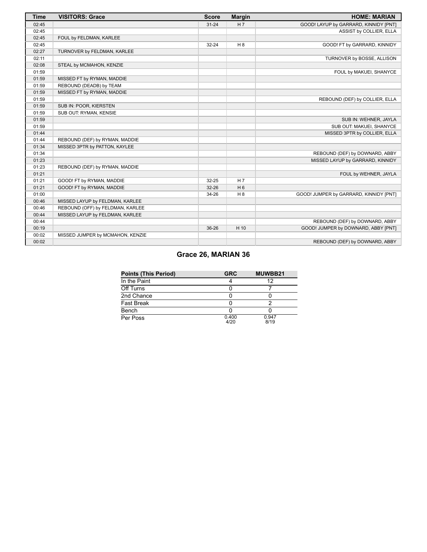| <b>Time</b> | <b>VISITORS: Grace</b>           | <b>Score</b> | <b>Margin</b>  | <b>HOME: MARIAN</b>                    |
|-------------|----------------------------------|--------------|----------------|----------------------------------------|
| 02:45       |                                  | $31 - 24$    | H7             | GOOD! LAYUP by GARRARD, KINNIDY [PNT]  |
| 02:45       |                                  |              |                | ASSIST by COLLIER, ELLA                |
| 02:45       | FOUL by FELDMAN, KARLEE          |              |                |                                        |
| 02:45       |                                  | $32 - 24$    | H 8            | GOOD! FT by GARRARD, KINNIDY           |
| 02:27       | TURNOVER by FELDMAN, KARLEE      |              |                |                                        |
| 02:11       |                                  |              |                | TURNOVER by BOSSE, ALLISON             |
| 02:08       | STEAL by MCMAHON, KENZIE         |              |                |                                        |
| 01:59       |                                  |              |                | FOUL by MAKUEI, SHANYCE                |
| 01:59       | MISSED FT by RYMAN, MADDIE       |              |                |                                        |
| 01:59       | REBOUND (DEADB) by TEAM          |              |                |                                        |
| 01:59       | MISSED FT by RYMAN, MADDIE       |              |                |                                        |
| 01:59       |                                  |              |                | REBOUND (DEF) by COLLIER, ELLA         |
| 01:59       | SUB IN: POOR, KIERSTEN           |              |                |                                        |
| 01:59       | SUB OUT: RYMAN, KENSIE           |              |                |                                        |
| 01:59       |                                  |              |                | SUB IN: WEHNER, JAYLA                  |
| 01:59       |                                  |              |                | SUB OUT: MAKUEI, SHANYCE               |
| 01:44       |                                  |              |                | MISSED 3PTR by COLLIER, ELLA           |
| 01:44       | REBOUND (DEF) by RYMAN, MADDIE   |              |                |                                        |
| 01:34       | MISSED 3PTR by PATTON, KAYLEE    |              |                |                                        |
| 01:34       |                                  |              |                | REBOUND (DEF) by DOWNARD, ABBY         |
| 01:23       |                                  |              |                | MISSED LAYUP by GARRARD, KINNIDY       |
| 01:23       | REBOUND (DEF) by RYMAN, MADDIE   |              |                |                                        |
| 01:21       |                                  |              |                | FOUL by WEHNER, JAYLA                  |
| 01:21       | GOOD! FT by RYMAN, MADDIE        | 32-25        | H <sub>7</sub> |                                        |
| 01:21       | GOOD! FT by RYMAN, MADDIE        | $32 - 26$    | H <sub>6</sub> |                                        |
| 01:00       |                                  | 34-26        | H <sub>8</sub> | GOOD! JUMPER by GARRARD, KINNIDY [PNT] |
| 00:46       | MISSED LAYUP by FELDMAN, KARLEE  |              |                |                                        |
| 00:46       | REBOUND (OFF) by FELDMAN, KARLEE |              |                |                                        |
| 00:44       | MISSED LAYUP by FELDMAN, KARLEE  |              |                |                                        |
| 00:44       |                                  |              |                | REBOUND (DEF) by DOWNARD, ABBY         |
| 00:19       |                                  | 36-26        | H 10           | GOOD! JUMPER by DOWNARD, ABBY [PNT]    |
| 00:02       | MISSED JUMPER by MCMAHON, KENZIE |              |                |                                        |
| 00:02       |                                  |              |                | REBOUND (DEF) by DOWNARD, ABBY         |

# **Grace 26, MARIAN 36**

| <b>Points (This Period)</b> | <b>GRC</b>    | MUWBB21       |
|-----------------------------|---------------|---------------|
| In the Paint                |               | 12            |
| Off Turns                   |               |               |
| 2nd Chance                  |               |               |
| Fast Break                  |               |               |
| Bench                       |               |               |
| Per Poss                    | 0.400<br>4/20 | 0.947<br>8/19 |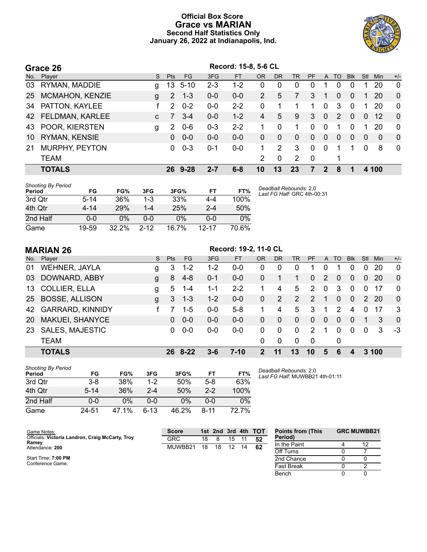# **Official Box Score Grace vs MARIAN Second Half Statistics Only January 26, 2022 at Indianapolis, Ind.**



|     | Grace 26               |              |               |          |         | Record: 15-8, 5-6 CL |                |             |           |          |              |                |            |          |            |                |
|-----|------------------------|--------------|---------------|----------|---------|----------------------|----------------|-------------|-----------|----------|--------------|----------------|------------|----------|------------|----------------|
| No. | Player                 | S.           | <b>Pts</b>    | FG       | 3FG     | <b>FT</b>            | <b>OR</b>      | <b>DR</b>   | <b>TR</b> | PF       | $\mathsf{A}$ | T <sub>O</sub> | <b>Blk</b> | Stl      | <b>Min</b> | $+/-$          |
| 03  | RYMAN, MADDIE          | g            | 13            | $5 - 10$ | $2 - 3$ | $1 - 2$              | 0              | 0           | $\Omega$  | 0        |              | 0              | $\Omega$   |          | 20         | $\mathbf 0$    |
| 25  | <b>MCMAHON, KENZIE</b> | g            | 2             | $1 - 3$  | $0 - 0$ | $0-0$                | 2              | 5           | 7         | 3        |              | $\Omega$       | $\Omega$   |          | 20         | $\overline{0}$ |
| 34  | PATTON, KAYLEE         |              | $\mathcal{P}$ | $0 - 2$  | 0-0     | $2 - 2$              | 0              | 1           |           | 1        | $\Omega$     | 3              | $\Omega$   | 1        | 20         | $\Omega$       |
|     | 42 FELDMAN, KARLEE     | $\mathbf{C}$ | 7             | $3 - 4$  | $0-0$   | $1 - 2$              | 4              | 5           | 9         | 3        | $\Omega$     | $\mathcal{P}$  | $\Omega$   | $\Omega$ | -12        | $\Omega$       |
| 43  | POOR, KIERSTEN         | g            | 2             | $0-6$    | $0 - 3$ | $2 - 2$              |                | 0           |           | $\Omega$ | $\Omega$     | 1              | $\Omega$   | 1        | 20         | $\Omega$       |
| 10  | RYMAN, KENSIE          |              | $\Omega$      | $0 - 0$  | $0-0$   | $0-0$                | 0              | $\Omega$    | $\Omega$  | $\Omega$ | $\Omega$     | $\Omega$       | $\Omega$   | $\Omega$ | $\Omega$   | $\overline{0}$ |
| 21  | <b>MURPHY, PEYTON</b>  |              | 0             | $0 - 3$  | 0-1     | 0-0                  |                | 2           | 3         | $\Omega$ | 0            |                |            | $\Omega$ | 8          | $\mathbf{0}$   |
|     | <b>TEAM</b>            |              |               |          |         |                      | $\overline{2}$ | $\mathbf 0$ | 2         | - 0      |              | 1              |            |          |            |                |
|     | <b>TOTALS</b>          |              | 26            | $9 - 28$ | 2-7     | $6 - 8$              | 10             | 13          | 23        |          | 2            | 8              |            |          | 4 100      |                |

| <b>Shooting By Period</b><br>Period | FG       | FG%      | 3FG      | 3FG%  | FT        | FT%   | Deadball Rebounds: 2,0<br>Last FG Half: GRC 4th-00:31 |
|-------------------------------------|----------|----------|----------|-------|-----------|-------|-------------------------------------------------------|
| 3rd Qtr                             | $5 - 14$ | 36%      | $1 - 3$  | 33%   | 4-4       | 100%  |                                                       |
| 4th Qtr                             | $4 - 14$ | 29%      | $1 - 4$  | 25%   | $2 - 4$   | 50%   |                                                       |
| 2nd Half                            | 0-0      | 0%       | $0 - 0$  | 0%    | ი-ი       | $0\%$ |                                                       |
| Game                                | 19-59    | $32.2\%$ | $2 - 12$ | 16.7% | $12 - 17$ | 70 6% |                                                       |

|           | <b>MARIAN 26</b>        |              |            |           |         | Record: 19-2, 11-0 CL |              |           |             |               |                |               |                |                |           |              |
|-----------|-------------------------|--------------|------------|-----------|---------|-----------------------|--------------|-----------|-------------|---------------|----------------|---------------|----------------|----------------|-----------|--------------|
| No.       | Player                  | S            | <b>Pts</b> | <b>FG</b> | 3FG     | <b>FT</b>             | <b>OR</b>    | <b>DR</b> | <b>TR</b>   | <b>PF</b>     | A              | TO            | <b>Blk</b>     | Stl            | Min       | $+/-$        |
| 01        | <b>WEHNER, JAYLA</b>    | g            | 3          | $1 - 2$   | $1 - 2$ | $0-0$                 | 0            | 0         | 0           |               | 0              |               | 0              | 0              | 20        | $\mathbf 0$  |
| 03        | DOWNARD, ABBY           | $\mathsf{g}$ | 8          | $4 - 8$   | $0 - 1$ | $0-0$                 | $\mathbf{0}$ |           |             | $\Omega$      | $\overline{2}$ | $\Omega$      | $\overline{0}$ | $\overline{0}$ | <b>20</b> | $\mathbf{0}$ |
| 13        | <b>COLLIER, ELLA</b>    | g            | 5          | $1 - 4$   | 1-1     | $2 - 2$               |              | 4         | 5           | 2             | $\mathbf 0$    | 3             | $\Omega$       | $\Omega$       | 17        | $\Omega$     |
| 25        | <b>BOSSE, ALLISON</b>   | g            | 3          | $1 - 3$   | $1 - 2$ | $0 - 0$               | $\mathbf{0}$ | 2         | 2           | 2             | 1              | $\Omega$      | $\Omega$       | $\mathcal{P}$  | <b>20</b> | $\mathbf 0$  |
| 42        | <b>GARRARD, KINNIDY</b> |              |            | $1 - 5$   | $0 - 0$ | $5 - 8$               |              | 4         | 5           | 3             | 1              | $\mathcal{P}$ | 4              | $\Omega$       | 17        | -3           |
| <b>20</b> | MAKUEI, SHANYCE         |              | 0          | $0 - 0$   | $0 - 0$ | $0 - 0$               | $\Omega$     | $\Omega$  | $\Omega$    | $\Omega$      | $\Omega$       | $\Omega$      | $\Omega$       |                | 3         | $\mathbf 0$  |
| 23        | <b>SALES, MAJESTIC</b>  |              | 0          | $0-0$     | $0 - 0$ | $0 - 0$               | 0            | 0         | $\mathbf 0$ | $\mathcal{P}$ | 1              | $\Omega$      | $\Omega$       | $\Omega$       | 3         | -3           |
|           | <b>TEAM</b>             |              |            |           |         |                       | $\Omega$     | 0         | $\mathbf 0$ | 0             |                | 0             |                |                |           |              |
|           | <b>TOTALS</b>           |              | 26         | $8 - 22$  | 3-6     | $7 - 10$              | 2            | 11        | 13          | 10            | 5              | 6             |                | 3              | 100       |              |

| <b>Shooting By Period</b><br>Period | FG       | FG%   | 3FG     | 3FG%  | FT      | FT%   |
|-------------------------------------|----------|-------|---------|-------|---------|-------|
| 3rd Otr                             | 3-8      | 38%   | $1 - 2$ | 50%   | $5-8$   | 63%   |
| 4th Otr                             | $5 - 14$ | 36%   | $2 - 4$ | 50%   | $2 - 2$ | 100%  |
| 2nd Half                            | $0 - 0$  | $0\%$ | 0-0     | 0%    | ი-ი     | 0%    |
| Game                                | 24-51    | 47.1% | 6-13    | 46.2% | 8-11    | 72.7% |

*Deadball Rebounds:* 2,0 *Last FG Half:* MUWBB21 4th-01:11

| Game Notes:                                               | <b>Score</b> |    |    |    |    | 1st 2nd 3rd 4th TOT | <b>Points from (This</b> | <b>GRC MUWBB21</b> |
|-----------------------------------------------------------|--------------|----|----|----|----|---------------------|--------------------------|--------------------|
| Officials: Victoria Landron, Craig McCarty, Troy<br>Ramey | GRC          | 18 |    | 15 |    | 52                  | Period)                  |                    |
| Attendance: 200                                           | MUWBB21      | 18 | 18 | 12 | 14 | 62                  | In the Paint             |                    |
|                                                           |              |    |    |    |    |                     | Off Turns                |                    |
| Start Time: 7:00 PM                                       |              |    |    |    |    |                     | 2nd Chance               |                    |
| Conference Game;                                          |              |    |    |    |    |                     | <b>Fast Break</b>        |                    |
|                                                           |              |    |    |    |    |                     | Bench                    |                    |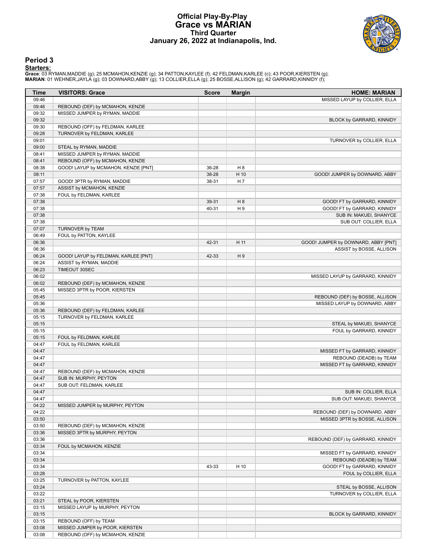# **Official Play-By-Play Grace vs MARIAN Third Quarter January 26, 2022 at Indianapolis, Ind.**



# **Period 3**

| Time           | <b>VISITORS: Grace</b>               | <b>Score</b> | <b>Margin</b>  | <b>HOME: MARIAN</b>                                     |
|----------------|--------------------------------------|--------------|----------------|---------------------------------------------------------|
| 09:46          |                                      |              |                | MISSED LAYUP by COLLIER, ELLA                           |
| 09:46          | REBOUND (DEF) by MCMAHON, KENZIE     |              |                |                                                         |
| 09:32          | MISSED JUMPER by RYMAN, MADDIE       |              |                |                                                         |
| 09:32          |                                      |              |                | BLOCK by GARRARD, KINNIDY                               |
| 09:30          | REBOUND (OFF) by FELDMAN, KARLEE     |              |                |                                                         |
| 09:28          | TURNOVER by FELDMAN, KARLEE          |              |                |                                                         |
| 09:01          |                                      |              |                | TURNOVER by COLLIER, ELLA                               |
| 09:00          | STEAL by RYMAN, MADDIE               |              |                |                                                         |
| 08:41          | MISSED JUMPER by RYMAN, MADDIE       |              |                |                                                         |
| 08:41          | REBOUND (OFF) by MCMAHON, KENZIE     |              |                |                                                         |
| 08:38          | GOOD! LAYUP by MCMAHON, KENZIE [PNT] | 36-28        | H <sub>8</sub> |                                                         |
| 08:11          |                                      | 38-28        | H 10           | GOOD! JUMPER by DOWNARD, ABBY                           |
| 07:57          | GOOD! 3PTR by RYMAN, MADDIE          | 38-31        | H 7            |                                                         |
| 07:57          | ASSIST by MCMAHON, KENZIE            |              |                |                                                         |
| 07:38          | FOUL by FELDMAN, KARLEE              |              |                |                                                         |
| 07:38          |                                      | 39-31        | H 8            | GOOD! FT by GARRARD, KINNIDY                            |
| 07:38          |                                      | 40-31        | H <sub>9</sub> | GOOD! FT by GARRARD, KINNIDY                            |
| 07:38          |                                      |              |                | SUB IN: MAKUEI, SHANYCE                                 |
| 07:38          |                                      |              |                | SUB OUT: COLLIER, ELLA                                  |
| 07:07          | TURNOVER by TEAM                     |              |                |                                                         |
| 06:49          | FOUL by PATTON, KAYLEE               |              |                |                                                         |
| 06:36<br>06:36 |                                      | 42-31        | H 11           | GOOD! JUMPER by DOWNARD, ABBY [PNT]                     |
| 06:24          | GOOD! LAYUP by FELDMAN, KARLEE [PNT] | 42-33        | H9             | ASSIST by BOSSE, ALLISON                                |
| 06:24          | ASSIST by RYMAN, MADDIE              |              |                |                                                         |
| 06:23          | TIMEOUT 30SEC                        |              |                |                                                         |
| 06:02          |                                      |              |                | MISSED LAYUP by GARRARD, KINNIDY                        |
| 06:02          | REBOUND (DEF) by MCMAHON, KENZIE     |              |                |                                                         |
| 05:45          | MISSED 3PTR by POOR, KIERSTEN        |              |                |                                                         |
| 05:45          |                                      |              |                | REBOUND (DEF) by BOSSE, ALLISON                         |
| 05:36          |                                      |              |                | MISSED LAYUP by DOWNARD, ABBY                           |
| 05:36          | REBOUND (DEF) by FELDMAN, KARLEE     |              |                |                                                         |
| 05:15          | TURNOVER by FELDMAN, KARLEE          |              |                |                                                         |
| 05:15          |                                      |              |                | STEAL by MAKUEI, SHANYCE                                |
| 05:15          |                                      |              |                | FOUL by GARRARD, KINNIDY                                |
| 05:15          | FOUL by FELDMAN, KARLEE              |              |                |                                                         |
| 04:47          | FOUL by FELDMAN, KARLEE              |              |                |                                                         |
| 04:47          |                                      |              |                | MISSED FT by GARRARD, KINNIDY                           |
| 04:47          |                                      |              |                | REBOUND (DEADB) by TEAM                                 |
| 04:47          |                                      |              |                | MISSED FT by GARRARD, KINNIDY                           |
| 04:47          | REBOUND (DEF) by MCMAHON, KENZIE     |              |                |                                                         |
| 04:47          | SUB IN: MURPHY, PEYTON               |              |                |                                                         |
| 04:47          | SUB OUT: FELDMAN, KARLEE             |              |                |                                                         |
| 04:47          |                                      |              |                | SUB IN: COLLIER, ELLA                                   |
| 04:47          |                                      |              |                | SUB OUT: MAKUEI, SHANYCE                                |
| 04:22          | MISSED JUMPER by MURPHY, PEYTON      |              |                |                                                         |
| 04:22          |                                      |              |                | REBOUND (DEF) by DOWNARD, ABBY                          |
| 03:50          |                                      |              |                | MISSED 3PTR by BOSSE, ALLISON                           |
| 03:50          | REBOUND (DEF) by MCMAHON, KENZIE     |              |                |                                                         |
| 03:36          | MISSED 3PTR by MURPHY, PEYTON        |              |                |                                                         |
| 03:36          |                                      |              |                | REBOUND (DEF) by GARRARD, KINNIDY                       |
| 03:34          | FOUL by MCMAHON, KENZIE              |              |                |                                                         |
| 03:34          |                                      |              |                | MISSED FT by GARRARD, KINNIDY                           |
| 03:34          |                                      |              |                | REBOUND (DEADB) by TEAM<br>GOOD! FT by GARRARD, KINNIDY |
| 03:34<br>03:28 |                                      | 43-33        | H 10           |                                                         |
| 03:25          | TURNOVER by PATTON, KAYLEE           |              |                | FOUL by COLLIER, ELLA                                   |
| 03:24          |                                      |              |                | STEAL by BOSSE, ALLISON                                 |
| 03:22          |                                      |              |                | TURNOVER by COLLIER, ELLA                               |
| 03:21          | STEAL by POOR, KIERSTEN              |              |                |                                                         |
| 03:15          | MISSED LAYUP by MURPHY, PEYTON       |              |                |                                                         |
| 03:15          |                                      |              |                | BLOCK by GARRARD, KINNIDY                               |
| 03:15          | REBOUND (OFF) by TEAM                |              |                |                                                         |
| 03:08          | MISSED JUMPER by POOR, KIERSTEN      |              |                |                                                         |
| 03:08          | REBOUND (OFF) by MCMAHON, KENZIE     |              |                |                                                         |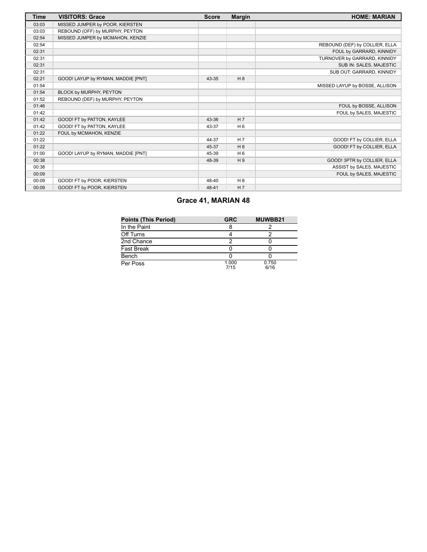| <b>Time</b> | <b>VISITORS: Grace</b>             | <b>Score</b> | <b>Margin</b>  | <b>HOME: MARIAN</b>            |
|-------------|------------------------------------|--------------|----------------|--------------------------------|
| 03:03       | MISSED JUMPER by POOR, KIERSTEN    |              |                |                                |
| 03:03       | REBOUND (OFF) by MURPHY, PEYTON    |              |                |                                |
| 02:54       | MISSED JUMPER by MCMAHON, KENZIE   |              |                |                                |
| 02:54       |                                    |              |                | REBOUND (DEF) by COLLIER, ELLA |
| 02:31       |                                    |              |                | FOUL by GARRARD, KINNIDY       |
| 02:31       |                                    |              |                | TURNOVER by GARRARD, KINNIDY   |
| 02:31       |                                    |              |                | SUB IN: SALES, MAJESTIC        |
| 02:31       |                                    |              |                | SUB OUT: GARRARD, KINNIDY      |
| 02:21       | GOOD! LAYUP by RYMAN, MADDIE [PNT] | 43-35        | H 8            |                                |
| 01:54       |                                    |              |                | MISSED LAYUP by BOSSE, ALLISON |
| 01:54       | BLOCK by MURPHY, PEYTON            |              |                |                                |
| 01:52       | REBOUND (DEF) by MURPHY, PEYTON    |              |                |                                |
| 01:46       |                                    |              |                | FOUL by BOSSE, ALLISON         |
| 01:42       |                                    |              |                | FOUL by SALES, MAJESTIC        |
| 01:42       | GOOD! FT by PATTON, KAYLEE         | 43-36        | H <sub>7</sub> |                                |
| 01:42       | GOOD! FT by PATTON, KAYLEE         | 43-37        | H <sub>6</sub> |                                |
| 01:22       | FOUL by MCMAHON, KENZIE            |              |                |                                |
| 01:22       |                                    | 44-37        | H <sub>7</sub> | GOOD! FT by COLLIER, ELLA      |
| 01:22       |                                    | 45-37        | H 8            | GOOD! FT by COLLIER, ELLA      |
| 01:00       | GOOD! LAYUP by RYMAN, MADDIE [PNT] | 45-39        | H <sub>6</sub> |                                |
| 00:38       |                                    | 48-39        | H9             | GOOD! 3PTR by COLLIER, ELLA    |
| 00:38       |                                    |              |                | ASSIST by SALES, MAJESTIC      |
| 00:09       |                                    |              |                | FOUL by SALES, MAJESTIC        |
| 00:09       | GOOD! FT by POOR, KIERSTEN         | 48-40        | H 8            |                                |
| 00:09       | GOOD! FT by POOR, KIERSTEN         | 48-41        | H <sub>7</sub> |                                |

# **Grace 41, MARIAN 48**

| <b>Points (This Period)</b> | <b>GRC</b>    | MUWBB21       |
|-----------------------------|---------------|---------------|
| In the Paint                |               |               |
| Off Turns                   |               |               |
| 2nd Chance                  |               |               |
| <b>Fast Break</b>           |               |               |
| Bench                       |               |               |
| Per Poss                    | 1.000<br>7/15 | 0.750<br>6/16 |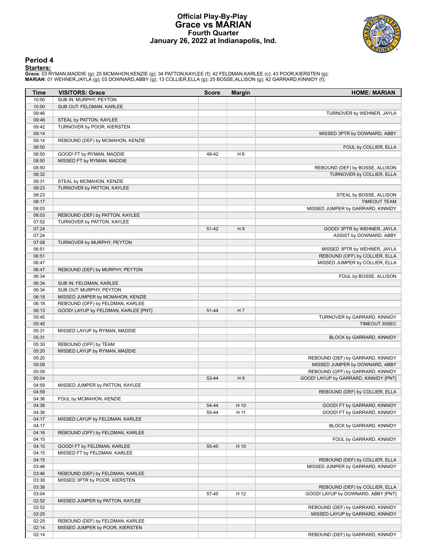# **Official Play-By-Play Grace vs MARIAN Fourth Quarter January 26, 2022 at Indianapolis, Ind.**



## **Period 4**

| Time           | <b>VISITORS: Grace</b>               | <b>Score</b> | <b>Margin</b>  | <b>HOME: MARIAN</b>                                                   |
|----------------|--------------------------------------|--------------|----------------|-----------------------------------------------------------------------|
| 10:00          | SUB IN: MURPHY, PEYTON               |              |                |                                                                       |
| 10:00          | SUB OUT: FELDMAN, KARLEE             |              |                |                                                                       |
| 09:46          |                                      |              |                | TURNOVER by WEHNER, JAYLA                                             |
| 09:46          | STEAL by PATTON, KAYLEE              |              |                |                                                                       |
| 09:42          | TURNOVER by POOR, KIERSTEN           |              |                |                                                                       |
| 09:14          |                                      |              |                | MISSED 3PTR by DOWNARD, ABBY                                          |
| 09:14<br>08:50 | REBOUND (DEF) by MCMAHON, KENZIE     |              |                | FOUL by COLLIER, ELLA                                                 |
| 08:50          | GOOD! FT by RYMAN, MADDIE            | 48-42        | H <sub>6</sub> |                                                                       |
| 08:50          | MISSED FT by RYMAN, MADDIE           |              |                |                                                                       |
| 08:50          |                                      |              |                | REBOUND (DEF) by BOSSE, ALLISON                                       |
| 08:32          |                                      |              |                | TURNOVER by COLLIER, ELLA                                             |
| 08:31          | STEAL by MCMAHON, KENZIE             |              |                |                                                                       |
| 08:23          | TURNOVER by PATTON, KAYLEE           |              |                |                                                                       |
| 08:23          |                                      |              |                | STEAL by BOSSE, ALLISON                                               |
| 08:17          |                                      |              |                | <b>TIMEOUT TEAM</b>                                                   |
| 08:03          |                                      |              |                | MISSED JUMPER by GARRARD, KINNIDY                                     |
| 08:03          | REBOUND (DEF) by PATTON, KAYLEE      |              |                |                                                                       |
| 07:52          | TURNOVER by PATTON, KAYLEE           |              |                |                                                                       |
| 07:24<br>07:24 |                                      | 51-42        | H <sub>9</sub> | GOOD! 3PTR by WEHNER, JAYLA<br>ASSIST by DOWNARD, ABBY                |
| 07:08          | TURNOVER by MURPHY, PEYTON           |              |                |                                                                       |
| 06:51          |                                      |              |                | MISSED 3PTR by WEHNER, JAYLA                                          |
| 06:51          |                                      |              |                | REBOUND (OFF) by COLLIER, ELLA                                        |
| 06:47          |                                      |              |                | MISSED JUMPER by COLLIER, ELLA                                        |
| 06:47          | REBOUND (DEF) by MURPHY, PEYTON      |              |                |                                                                       |
| 06:34          |                                      |              |                | FOUL by BOSSE, ALLISON                                                |
| 06:34          | SUB IN: FELDMAN, KARLEE              |              |                |                                                                       |
| 06:34          | SUB OUT: MURPHY, PEYTON              |              |                |                                                                       |
| 06:18          | MISSED JUMPER by MCMAHON, KENZIE     |              |                |                                                                       |
| 06:18          | REBOUND (OFF) by FELDMAN, KARLEE     |              |                |                                                                       |
| 06:13          | GOOD! LAYUP by FELDMAN, KARLEE [PNT] | 51-44        | H 7            |                                                                       |
| 05:45          |                                      |              |                | TURNOVER by GARRARD, KINNIDY                                          |
| 05:45<br>05:31 | MISSED LAYUP by RYMAN, MADDIE        |              |                | TIMEOUT 30SEC                                                         |
| 05:31          |                                      |              |                | BLOCK by GARRARD, KINNIDY                                             |
| 05:30          | REBOUND (OFF) by TEAM                |              |                |                                                                       |
| 05:20          | MISSED LAYUP by RYMAN, MADDIE        |              |                |                                                                       |
| 05:20          |                                      |              |                | REBOUND (DEF) by GARRARD, KINNIDY                                     |
| 05:09          |                                      |              |                | MISSED JUMPER by DOWNARD, ABBY                                        |
| 05:09          |                                      |              |                | REBOUND (OFF) by GARRARD, KINNIDY                                     |
| 05:04          |                                      | 53-44        | H9             | GOOD! LAYUP by GARRARD, KINNIDY [PNT]                                 |
| 04:59          | MISSED JUMPER by PATTON, KAYLEE      |              |                |                                                                       |
| 04:59          |                                      |              |                | REBOUND (DEF) by COLLIER, ELLA                                        |
| 04:36          | FOUL by MCMAHON, KENZIE              |              |                |                                                                       |
| 04:36          |                                      | 54-44        | H 10           | GOOD! FT by GARRARD, KINNIDY                                          |
| 04:36<br>04:17 | MISSED LAYUP by FELDMAN, KARLEE      | 55-44        | H 11           | GOOD! FT by GARRARD, KINNIDY                                          |
| 04:17          |                                      |              |                | BLOCK by GARRARD, KINNIDY                                             |
| 04:16          | REBOUND (OFF) by FELDMAN, KARLEE     |              |                |                                                                       |
| 04:15          |                                      |              |                | FOUL by GARRARD, KINNIDY                                              |
| 04:15          | GOOD! FT by FELDMAN, KARLEE          | 55-45        | H 10           |                                                                       |
| 04:15          | MISSED FT by FELDMAN, KARLEE         |              |                |                                                                       |
| 04:15          |                                      |              |                | REBOUND (DEF) by COLLIER, ELLA                                        |
| 03:46          |                                      |              |                | MISSED JUMPER by GARRARD, KINNIDY                                     |
| 03:46          | REBOUND (DEF) by FELDMAN, KARLEE     |              |                |                                                                       |
| 03:38          | MISSED 3PTR by POOR, KIERSTEN        |              |                |                                                                       |
| 03:38          |                                      |              |                | REBOUND (DEF) by COLLIER, ELLA                                        |
| 03:04          |                                      | 57-45        | H 12           | GOOD! LAYUP by DOWNARD, ABBY [PNT]                                    |
| 02:52          | MISSED JUMPER by PATTON, KAYLEE      |              |                |                                                                       |
| 02:52<br>02:25 |                                      |              |                | REBOUND (DEF) by GARRARD, KINNIDY<br>MISSED LAYUP by GARRARD, KINNIDY |
| 02:25          | REBOUND (DEF) by FELDMAN, KARLEE     |              |                |                                                                       |
| 02:14          | MISSED JUMPER by POOR, KIERSTEN      |              |                |                                                                       |
| 02:14          |                                      |              |                | REBOUND (DEF) by GARRARD, KINNIDY                                     |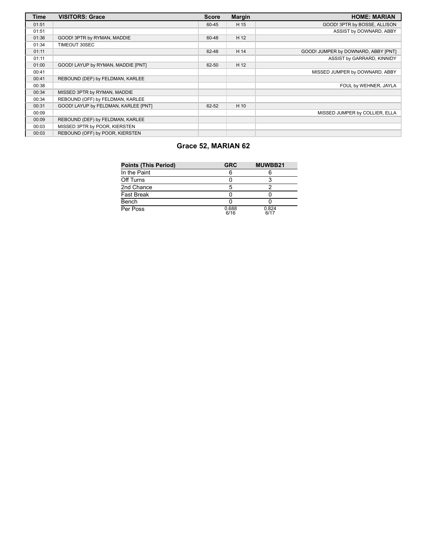| <b>Time</b> | <b>VISITORS: Grace</b>               | <b>Score</b> | <b>Margin</b> | <b>HOME: MARIAN</b>                 |
|-------------|--------------------------------------|--------------|---------------|-------------------------------------|
| 01:51       |                                      | 60-45        | H 15          | GOOD! 3PTR by BOSSE, ALLISON        |
| 01:51       |                                      |              |               | ASSIST by DOWNARD, ABBY             |
| 01:36       | GOOD! 3PTR by RYMAN, MADDIE          | 60-48        | H 12          |                                     |
| 01:34       | TIMEOUT 30SEC                        |              |               |                                     |
| 01:11       |                                      | 62-48        | H 14          | GOOD! JUMPER by DOWNARD, ABBY [PNT] |
| 01:11       |                                      |              |               | ASSIST by GARRARD, KINNIDY          |
| 01:00       | GOOD! LAYUP by RYMAN, MADDIE [PNT]   | 62-50        | H 12          |                                     |
| 00:41       |                                      |              |               | MISSED JUMPER by DOWNARD, ABBY      |
| 00:41       | REBOUND (DEF) by FELDMAN, KARLEE     |              |               |                                     |
| 00:38       |                                      |              |               | FOUL by WEHNER, JAYLA               |
| 00:34       | MISSED 3PTR by RYMAN, MADDIE         |              |               |                                     |
| 00:34       | REBOUND (OFF) by FELDMAN, KARLEE     |              |               |                                     |
| 00:31       | GOOD! LAYUP by FELDMAN, KARLEE [PNT] | 62-52        | H 10          |                                     |
| 00:09       |                                      |              |               | MISSED JUMPER by COLLIER, ELLA      |
| 00:09       | REBOUND (DEF) by FELDMAN, KARLEE     |              |               |                                     |
| 00:03       | MISSED 3PTR by POOR, KIERSTEN        |              |               |                                     |
| 00:03       | REBOUND (OFF) by POOR, KIERSTEN      |              |               |                                     |

# **Grace 52, MARIAN 62**

| <b>Points (This Period)</b> | <b>GRC</b>    | MUWBB21       |
|-----------------------------|---------------|---------------|
| In the Paint                |               |               |
| Off Turns                   |               |               |
| 2nd Chance                  |               |               |
| <b>Fast Break</b>           |               |               |
| Bench                       |               |               |
| Per Poss                    | 0.688<br>6/16 | 0.824<br>6/17 |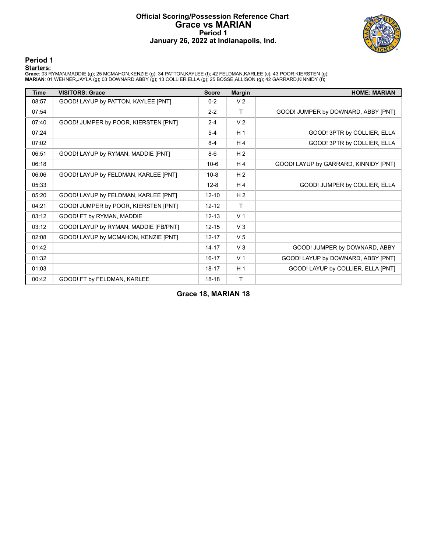# **Official Scoring/Possession Reference Chart Grace vs MARIAN Period 1 January 26, 2022 at Indianapolis, Ind.**



**Period 1**

<mark>Starters:</mark><br>Grace: 03 RYMAN,MADDIE (g); 25 MCMAHON,KENZIE (g); 34 PATTON,KAYLEE (f); 42 FELDMAN,KARLEE (c); 43 POOR,KIERSTEN (g);<br>**MARIAN**: 01 WEHNER,JAYLA (g); 03 DOWNARD,ABBY (g); 13 COLLIER,ELLA (g); 25 BOSSE,ALLISON (g

| <b>Time</b> | <b>VISITORS: Grace</b>                | <b>Score</b> | <b>Margin</b>  | <b>HOME: MARIAN</b>                   |
|-------------|---------------------------------------|--------------|----------------|---------------------------------------|
| 08:57       | GOOD! LAYUP by PATTON, KAYLEE [PNT]   | $0 - 2$      | V <sub>2</sub> |                                       |
| 07:54       |                                       | $2 - 2$      | T              | GOOD! JUMPER by DOWNARD, ABBY [PNT]   |
| 07:40       | GOOD! JUMPER by POOR, KIERSTEN [PNT]  | $2 - 4$      | V <sub>2</sub> |                                       |
| 07:24       |                                       | $5 - 4$      | H <sub>1</sub> | GOOD! 3PTR by COLLIER, ELLA           |
| 07:02       |                                       | $8 - 4$      | H <sub>4</sub> | GOOD! 3PTR by COLLIER, ELLA           |
| 06:51       | GOOD! LAYUP by RYMAN, MADDIE [PNT]    | $8-6$        | H <sub>2</sub> |                                       |
| 06:18       |                                       | $10-6$       | H <sub>4</sub> | GOOD! LAYUP by GARRARD, KINNIDY [PNT] |
| 06:06       | GOOD! LAYUP by FELDMAN, KARLEE [PNT]  | $10 - 8$     | H <sub>2</sub> |                                       |
| 05:33       |                                       | $12 - 8$     | H <sub>4</sub> | GOOD! JUMPER by COLLIER, ELLA         |
| 05:20       | GOOD! LAYUP by FELDMAN, KARLEE [PNT]  | $12 - 10$    | H <sub>2</sub> |                                       |
| 04:21       | GOOD! JUMPER by POOR, KIERSTEN [PNT]  | $12 - 12$    | $\mathsf{T}$   |                                       |
| 03:12       | GOOD! FT by RYMAN, MADDIE             | $12 - 13$    | V <sub>1</sub> |                                       |
| 03:12       | GOOD! LAYUP by RYMAN, MADDIE [FB/PNT] | $12 - 15$    | V <sub>3</sub> |                                       |
| 02:08       | GOOD! LAYUP by MCMAHON, KENZIE [PNT]  | $12 - 17$    | V <sub>5</sub> |                                       |
| 01:42       |                                       | $14 - 17$    | V <sub>3</sub> | GOOD! JUMPER by DOWNARD, ABBY         |
| 01:32       |                                       | $16 - 17$    | V <sub>1</sub> | GOOD! LAYUP by DOWNARD, ABBY [PNT]    |
| 01:03       |                                       | $18 - 17$    | H <sub>1</sub> | GOOD! LAYUP by COLLIER, ELLA [PNT]    |
| 00:42       | GOOD! FT by FELDMAN, KARLEE           | $18-18$      | T              |                                       |

**Grace 18, MARIAN 18**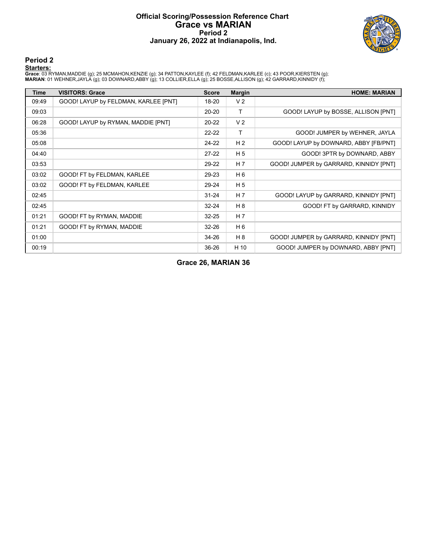# **Official Scoring/Possession Reference Chart Grace vs MARIAN Period 2 January 26, 2022 at Indianapolis, Ind.**



**Period 2**

#### **Starters:**

**Grace**: 03 RYMAN,MADDIE (g); 25 MCMAHON,KENZIE (g); 34 PATTON,KAYLEE (f); 42 FELDMAN,KARLEE (c); 43 POOR,KIERSTEN (g);<br>**MARIAN**: 01 WEHNER,JAYLA (g); 03 DOWNARD,ABBY (g); 13 COLLIER,ELLA (g); 25 BOSSE,ALLISON (g); 42 GARR

| Time  | <b>VISITORS: Grace</b>               | <b>Score</b> | <b>Margin</b>  | <b>HOME: MARIAN</b>                    |
|-------|--------------------------------------|--------------|----------------|----------------------------------------|
| 09:49 | GOOD! LAYUP by FELDMAN, KARLEE [PNT] | 18-20        | V <sub>2</sub> |                                        |
| 09:03 |                                      | $20 - 20$    | $\mathsf{T}$   | GOOD! LAYUP by BOSSE, ALLISON [PNT]    |
| 06:28 | GOOD! LAYUP by RYMAN, MADDIE [PNT]   | $20 - 22$    | V <sub>2</sub> |                                        |
| 05:36 |                                      | $22 - 22$    | Τ              | GOOD! JUMPER by WEHNER, JAYLA          |
| 05:08 |                                      | $24-22$      | H <sub>2</sub> | GOOD! LAYUP by DOWNARD, ABBY [FB/PNT]  |
| 04:40 |                                      | $27-22$      | H <sub>5</sub> | GOOD! 3PTR by DOWNARD, ABBY            |
| 03:53 |                                      | 29-22        | H 7            | GOOD! JUMPER by GARRARD, KINNIDY [PNT] |
| 03:02 | GOOD! FT by FELDMAN, KARLEE          | 29-23        | H 6            |                                        |
| 03:02 | GOOD! FT by FELDMAN, KARLEE          | 29-24        | H <sub>5</sub> |                                        |
| 02:45 |                                      | $31 - 24$    | H <sub>7</sub> | GOOD! LAYUP by GARRARD, KINNIDY [PNT]  |
| 02:45 |                                      | $32 - 24$    | H 8            | GOOD! FT by GARRARD, KINNIDY           |
| 01:21 | GOOD! FT by RYMAN, MADDIE            | $32 - 25$    | H <sub>7</sub> |                                        |
| 01:21 | GOOD! FT by RYMAN, MADDIE            | $32 - 26$    | H 6            |                                        |
| 01:00 |                                      | 34-26        | H 8            | GOOD! JUMPER by GARRARD, KINNIDY [PNT] |
| 00:19 |                                      | 36-26        | H 10           | GOOD! JUMPER by DOWNARD, ABBY [PNT]    |

**Grace 26, MARIAN 36**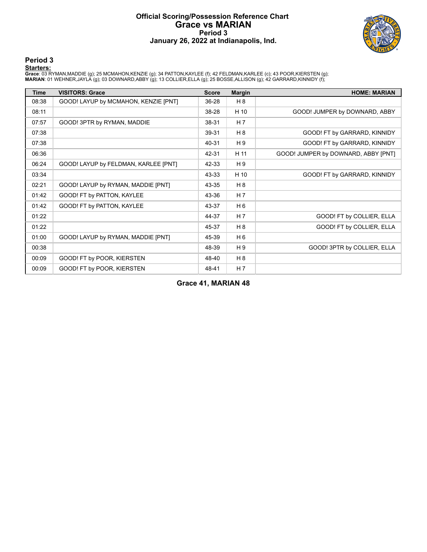# **Official Scoring/Possession Reference Chart Grace vs MARIAN Period 3 January 26, 2022 at Indianapolis, Ind.**



**Period 3**

<mark>Starters:</mark><br>Grace: 03 RYMAN,MADDIE (g); 25 MCMAHON,KENZIE (g); 34 PATTON,KAYLEE (f); 42 FELDMAN,KARLEE (c); 43 POOR,KIERSTEN (g);<br>**MARIAN**: 01 WEHNER,JAYLA (g); 03 DOWNARD,ABBY (g); 13 COLLIER,ELLA (g); 25 BOSSE,ALLISON (g

| <b>Time</b> | <b>VISITORS: Grace</b>               | <b>Score</b> | <b>Margin</b>  | <b>HOME: MARIAN</b>                 |
|-------------|--------------------------------------|--------------|----------------|-------------------------------------|
| 08:38       | GOOD! LAYUP by MCMAHON, KENZIE [PNT] | 36-28        | H 8            |                                     |
| 08:11       |                                      | 38-28        | H 10           | GOOD! JUMPER by DOWNARD, ABBY       |
| 07:57       | GOOD! 3PTR by RYMAN, MADDIE          | 38-31        | H <sub>7</sub> |                                     |
| 07:38       |                                      | 39-31        | H 8            | GOOD! FT by GARRARD, KINNIDY        |
| 07:38       |                                      | 40-31        | H9             | GOOD! FT by GARRARD, KINNIDY        |
| 06:36       |                                      | 42-31        | H 11           | GOOD! JUMPER by DOWNARD, ABBY [PNT] |
| 06:24       | GOOD! LAYUP by FELDMAN, KARLEE [PNT] | 42-33        | H 9            |                                     |
| 03:34       |                                      | 43-33        | H 10           | GOOD! FT by GARRARD, KINNIDY        |
| 02:21       | GOOD! LAYUP by RYMAN, MADDIE [PNT]   | 43-35        | H <sub>8</sub> |                                     |
| 01:42       | GOOD! FT by PATTON, KAYLEE           | 43-36        | H 7            |                                     |
| 01:42       | GOOD! FT by PATTON, KAYLEE           | 43-37        | H 6            |                                     |
| 01:22       |                                      | 44-37        | H <sub>7</sub> | GOOD! FT by COLLIER, ELLA           |
| 01:22       |                                      | 45-37        | H 8            | GOOD! FT by COLLIER, ELLA           |
| 01:00       | GOOD! LAYUP by RYMAN, MADDIE [PNT]   | 45-39        | H <sub>6</sub> |                                     |
| 00:38       |                                      | 48-39        | H <sub>9</sub> | GOOD! 3PTR by COLLIER, ELLA         |
| 00:09       | GOOD! FT by POOR, KIERSTEN           | 48-40        | H 8            |                                     |
| 00:09       | GOOD! FT by POOR, KIERSTEN           | 48-41        | H <sub>7</sub> |                                     |

**Grace 41, MARIAN 48**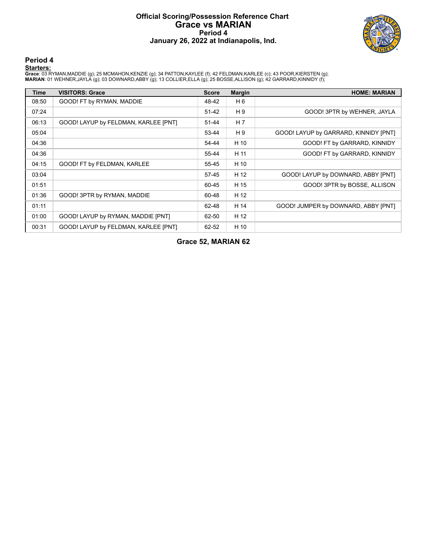# **Official Scoring/Possession Reference Chart Grace vs MARIAN Period 4 January 26, 2022 at Indianapolis, Ind.**



**Period 4**

<mark>Starters:</mark><br>Grace: 03 RYMAN,MADDIE (g); 25 MCMAHON,KENZIE (g); 34 PATTON,KAYLEE (f); 42 FELDMAN,KARLEE (c); 43 POOR,KIERSTEN (g);<br>**MARIAN**: 01 WEHNER,JAYLA (g); 03 DOWNARD,ABBY (g); 13 COLLIER,ELLA (g); 25 BOSSE,ALLISON (g

| Time  | <b>VISITORS: Grace</b>               | <b>Score</b> | <b>Margin</b>  | <b>HOME: MARIAN</b>                   |
|-------|--------------------------------------|--------------|----------------|---------------------------------------|
| 08:50 | GOOD! FT by RYMAN, MADDIE            | 48-42        | H 6            |                                       |
| 07:24 |                                      | 51-42        | H <sub>9</sub> | GOOD! 3PTR by WEHNER, JAYLA           |
| 06:13 | GOOD! LAYUP by FELDMAN, KARLEE [PNT] | 51-44        | H 7            |                                       |
| 05:04 |                                      | 53-44        | H 9            | GOOD! LAYUP by GARRARD, KINNIDY [PNT] |
| 04:36 |                                      | 54-44        | H 10           | GOOD! FT by GARRARD, KINNIDY          |
| 04:36 |                                      | 55-44        | H 11           | GOOD! FT by GARRARD, KINNIDY          |
| 04:15 | GOOD! FT by FELDMAN, KARLEE          | 55-45        | H 10           |                                       |
| 03:04 |                                      | 57-45        | H 12           | GOOD! LAYUP by DOWNARD, ABBY [PNT]    |
| 01:51 |                                      | 60-45        | H 15           | GOOD! 3PTR by BOSSE, ALLISON          |
| 01:36 | GOOD! 3PTR by RYMAN, MADDIE          | 60-48        | H 12           |                                       |
| 01:11 |                                      | 62-48        | H 14           | GOOD! JUMPER by DOWNARD, ABBY [PNT]   |
| 01:00 | GOOD! LAYUP by RYMAN, MADDIE [PNT]   | 62-50        | H 12           |                                       |
| 00:31 | GOOD! LAYUP by FELDMAN, KARLEE [PNT] | 62-52        | H 10           |                                       |

# **Grace 52, MARIAN 62**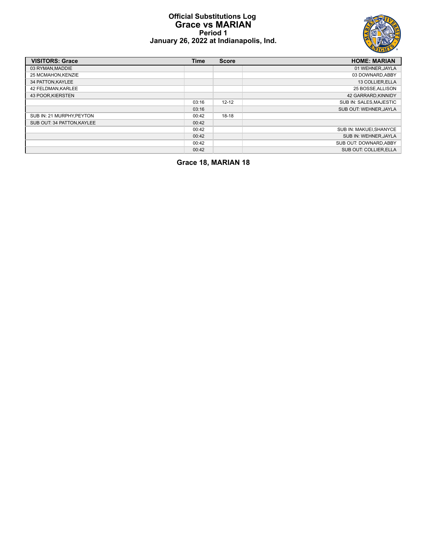# **Official Substitutions Log Grace vs MARIAN Period 1 January 26, 2022 at Indianapolis, Ind.**



| <b>VISITORS: Grace</b>     | Time  | <b>Score</b> | <b>HOME: MARIAN</b>     |
|----------------------------|-------|--------------|-------------------------|
| 03 RYMAN.MADDIE            |       |              | 01 WEHNER.JAYLA         |
| 25 MCMAHON, KENZIE         |       |              | 03 DOWNARD.ABBY         |
| 34 PATTON, KAYLEE          |       |              | 13 COLLIER, ELLA        |
| 42 FELDMAN.KARLEE          |       |              | 25 BOSSE, ALLISON       |
| 43 POOR.KIERSTEN           |       |              | 42 GARRARD.KINNIDY      |
|                            | 03:16 | $12 - 12$    | SUB IN: SALES, MAJESTIC |
|                            | 03:16 |              | SUB OUT: WEHNER.JAYLA   |
| SUB IN: 21 MURPHY.PEYTON   | 00:42 | $18-18$      |                         |
| SUB OUT: 34 PATTON, KAYLEE | 00:42 |              |                         |
|                            | 00:42 |              | SUB IN: MAKUEI, SHANYCE |
|                            | 00:42 |              | SUB IN: WEHNER, JAYLA   |
|                            | 00:42 |              | SUB OUT: DOWNARD.ABBY   |
|                            | 00:42 |              | SUB OUT: COLLIER.ELLA   |

**Grace 18, MARIAN 18**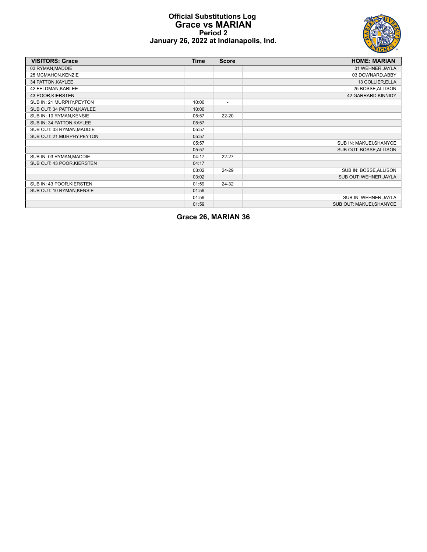# **Official Substitutions Log Grace vs MARIAN Period 2 January 26, 2022 at Indianapolis, Ind.**



| <b>VISITORS: Grace</b>     | <b>Time</b> | <b>Score</b>   | <b>HOME: MARIAN</b>      |
|----------------------------|-------------|----------------|--------------------------|
| 03 RYMAN, MADDIE           |             |                | 01 WEHNER, JAYLA         |
| 25 MCMAHON, KENZIE         |             |                | 03 DOWNARD, ABBY         |
| 34 PATTON, KAYLEE          |             |                | 13 COLLIER, ELLA         |
| 42 FELDMAN, KARLEE         |             |                | 25 BOSSE, ALLISON        |
| 43 POOR, KIERSTEN          |             |                | 42 GARRARD, KINNIDY      |
| SUB IN: 21 MURPHY, PEYTON  | 10:00       | $\blacksquare$ |                          |
| SUB OUT: 34 PATTON, KAYLEE | 10:00       |                |                          |
| SUB IN: 10 RYMAN, KENSIE   | 05:57       | $22 - 20$      |                          |
| SUB IN: 34 PATTON, KAYLEE  | 05:57       |                |                          |
| SUB OUT: 03 RYMAN, MADDIE  | 05:57       |                |                          |
| SUB OUT: 21 MURPHY, PEYTON | 05:57       |                |                          |
|                            | 05:57       |                | SUB IN: MAKUEI, SHANYCE  |
|                            | 05:57       |                | SUB OUT: BOSSE, ALLISON  |
| SUB IN: 03 RYMAN, MADDIE   | 04:17       | 22-27          |                          |
| SUB OUT: 43 POOR, KIERSTEN | 04:17       |                |                          |
|                            | 03:02       | 24-29          | SUB IN: BOSSE, ALLISON   |
|                            | 03:02       |                | SUB OUT: WEHNER, JAYLA   |
| SUB IN: 43 POOR, KIERSTEN  | 01:59       | 24-32          |                          |
| SUB OUT: 10 RYMAN, KENSIE  | 01:59       |                |                          |
|                            | 01:59       |                | SUB IN: WEHNER, JAYLA    |
|                            | 01:59       |                | SUB OUT: MAKUEI, SHANYCE |

**Grace 26, MARIAN 36**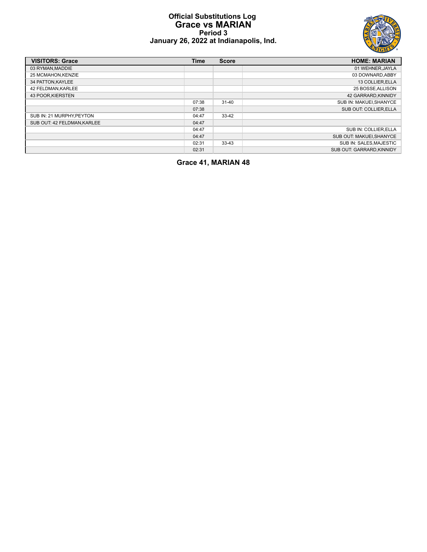# **Official Substitutions Log Grace vs MARIAN Period 3 January 26, 2022 at Indianapolis, Ind.**



| <b>VISITORS: Grace</b>     | Time  | <b>Score</b> | <b>HOME: MARIAN</b>      |
|----------------------------|-------|--------------|--------------------------|
| 03 RYMAN.MADDIE            |       |              | 01 WEHNER.JAYLA          |
| 25 MCMAHON, KENZIE         |       |              | 03 DOWNARD.ABBY          |
| 34 PATTON, KAYLEE          |       |              | 13 COLLIER, ELLA         |
| 42 FELDMAN.KARLEE          |       |              | 25 BOSSE, ALLISON        |
| 43 POOR KIERSTEN           |       |              | 42 GARRARD.KINNIDY       |
|                            | 07:38 | $31 - 40$    | SUB IN: MAKUEI.SHANYCE   |
|                            | 07:38 |              | SUB OUT: COLLIER.ELLA    |
| SUB IN: 21 MURPHY.PEYTON   | 04:47 | $33 - 42$    |                          |
| SUB OUT: 42 FELDMAN.KARLEE | 04:47 |              |                          |
|                            | 04:47 |              | SUB IN: COLLIER.ELLA     |
|                            | 04:47 |              | SUB OUT: MAKUEI, SHANYCE |
|                            | 02:31 | $33 - 43$    | SUB IN: SALES.MAJESTIC   |
|                            | 02:31 |              | SUB OUT: GARRARD.KINNIDY |

**Grace 41, MARIAN 48**